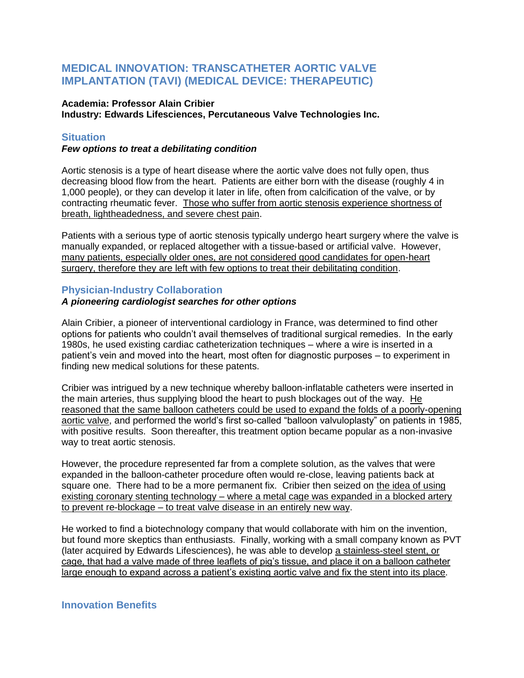# **MEDICAL INNOVATION: TRANSCATHETER AORTIC VALVE IMPLANTATION (TAVI) (MEDICAL DEVICE: THERAPEUTIC)**

#### **Academia: Professor Alain Cribier Industry: Edwards Lifesciences, Percutaneous Valve Technologies Inc.**

## **Situation**

## *Few options to treat a debilitating condition*

Aortic stenosis is a type of heart disease where the aortic valve does not fully open, thus decreasing blood flow from the heart. Patients are either born with the disease (roughly 4 in 1,000 people), or they can develop it later in life, often from calcification of the valve, or by contracting rheumatic fever. Those who suffer from aortic stenosis experience shortness of breath, lightheadedness, and severe chest pain.

Patients with a serious type of aortic stenosis typically undergo heart surgery where the valve is manually expanded, or replaced altogether with a tissue-based or artificial valve. However, many patients, especially older ones, are not considered good candidates for open-heart surgery, therefore they are left with few options to treat their debilitating condition.

# **Physician-Industry Collaboration**

## *A pioneering cardiologist searches for other options*

Alain Cribier, a pioneer of interventional cardiology in France, was determined to find other options for patients who couldn't avail themselves of traditional surgical remedies. In the early 1980s, he used existing cardiac catheterization techniques – where a wire is inserted in a patient's vein and moved into the heart, most often for diagnostic purposes – to experiment in finding new medical solutions for these patents.

Cribier was intrigued by a new technique whereby balloon-inflatable catheters were inserted in the main arteries, thus supplying blood the heart to push blockages out of the way. He reasoned that the same balloon catheters could be used to expand the folds of a poorly-opening aortic valve, and performed the world's first so-called "balloon valvuloplasty" on patients in 1985, with positive results. Soon thereafter, this treatment option became popular as a non-invasive way to treat aortic stenosis.

However, the procedure represented far from a complete solution, as the valves that were expanded in the balloon-catheter procedure often would re-close, leaving patients back at square one. There had to be a more permanent fix. Cribier then seized on the idea of using existing coronary stenting technology – where a metal cage was expanded in a blocked artery to prevent re-blockage – to treat valve disease in an entirely new way.

He worked to find a biotechnology company that would collaborate with him on the invention, but found more skeptics than enthusiasts. Finally, working with a small company known as PVT (later acquired by Edwards Lifesciences), he was able to develop a stainless-steel stent, or cage, that had a valve made of three leaflets of pig's tissue, and place it on a balloon catheter large enough to expand across a patient's existing aortic valve and fix the stent into its place.

## **Innovation Benefits**